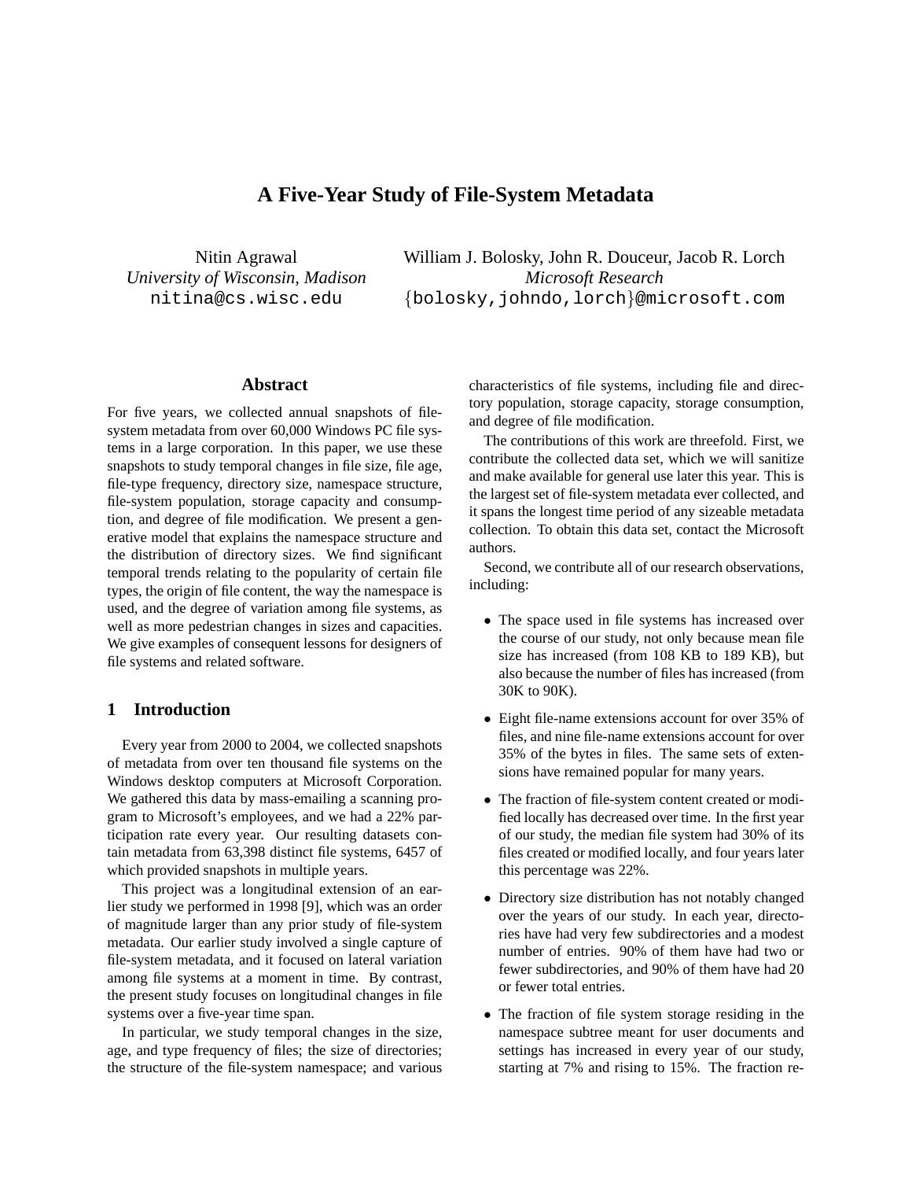# **A Five-Year Study of File-System Metadata**

Nitin Agrawal *University of Wisconsin, Madison* nitina@cs.wisc.edu

William J. Bolosky, John R. Douceur, Jacob R. Lorch *Microsoft Research* {bolosky,johndo,lorch}@microsoft.com

# **Abstract**

For five years, we collected annual snapshots of filesystem metadata from over 60,000 Windows PC file systems in a large corporation. In this paper, we use these snapshots to study temporal changes in file size, file age, file-type frequency, directory size, namespace structure, file-system population, storage capacity and consumption, and degree of file modification. We present a generative model that explains the namespace structure and the distribution of directory sizes. We find significant temporal trends relating to the popularity of certain file types, the origin of file content, the way the namespace is used, and the degree of variation among file systems, as well as more pedestrian changes in sizes and capacities. We give examples of consequent lessons for designers of file systems and related software.

# **1 Introduction**

Every year from 2000 to 2004, we collected snapshots of metadata from over ten thousand file systems on the Windows desktop computers at Microsoft Corporation. We gathered this data by mass-emailing a scanning program to Microsoft's employees, and we had a 22% participation rate every year. Our resulting datasets contain metadata from 63,398 distinct file systems, 6457 of which provided snapshots in multiple years.

This project was a longitudinal extension of an earlier study we performed in 1998 [9], which was an order of magnitude larger than any prior study of file-system metadata. Our earlier study involved a single capture of file-system metadata, and it focused on lateral variation among file systems at a moment in time. By contrast, the present study focuses on longitudinal changes in file systems over a five-year time span.

In particular, we study temporal changes in the size, age, and type frequency of files; the size of directories; the structure of the file-system namespace; and various characteristics of file systems, including file and directory population, storage capacity, storage consumption, and degree of file modification.

The contributions of this work are threefold. First, we contribute the collected data set, which we will sanitize and make available for general use later this year. This is the largest set of file-system metadata ever collected, and it spans the longest time period of any sizeable metadata collection. To obtain this data set, contact the Microsoft authors.

Second, we contribute all of our research observations, including:

- The space used in file systems has increased over the course of our study, not only because mean file size has increased (from 108 KB to 189 KB), but also because the number of files has increased (from 30K to 90K).
- Eight file-name extensions account for over 35% of files, and nine file-name extensions account for over 35% of the bytes in files. The same sets of extensions have remained popular for many years.
- The fraction of file-system content created or modified locally has decreased over time. In the first year of our study, the median file system had 30% of its files created or modified locally, and four years later this percentage was 22%.
- Directory size distribution has not notably changed over the years of our study. In each year, directories have had very few subdirectories and a modest number of entries. 90% of them have had two or fewer subdirectories, and 90% of them have had 20 or fewer total entries.
- The fraction of file system storage residing in the namespace subtree meant for user documents and settings has increased in every year of our study, starting at 7% and rising to 15%. The fraction re-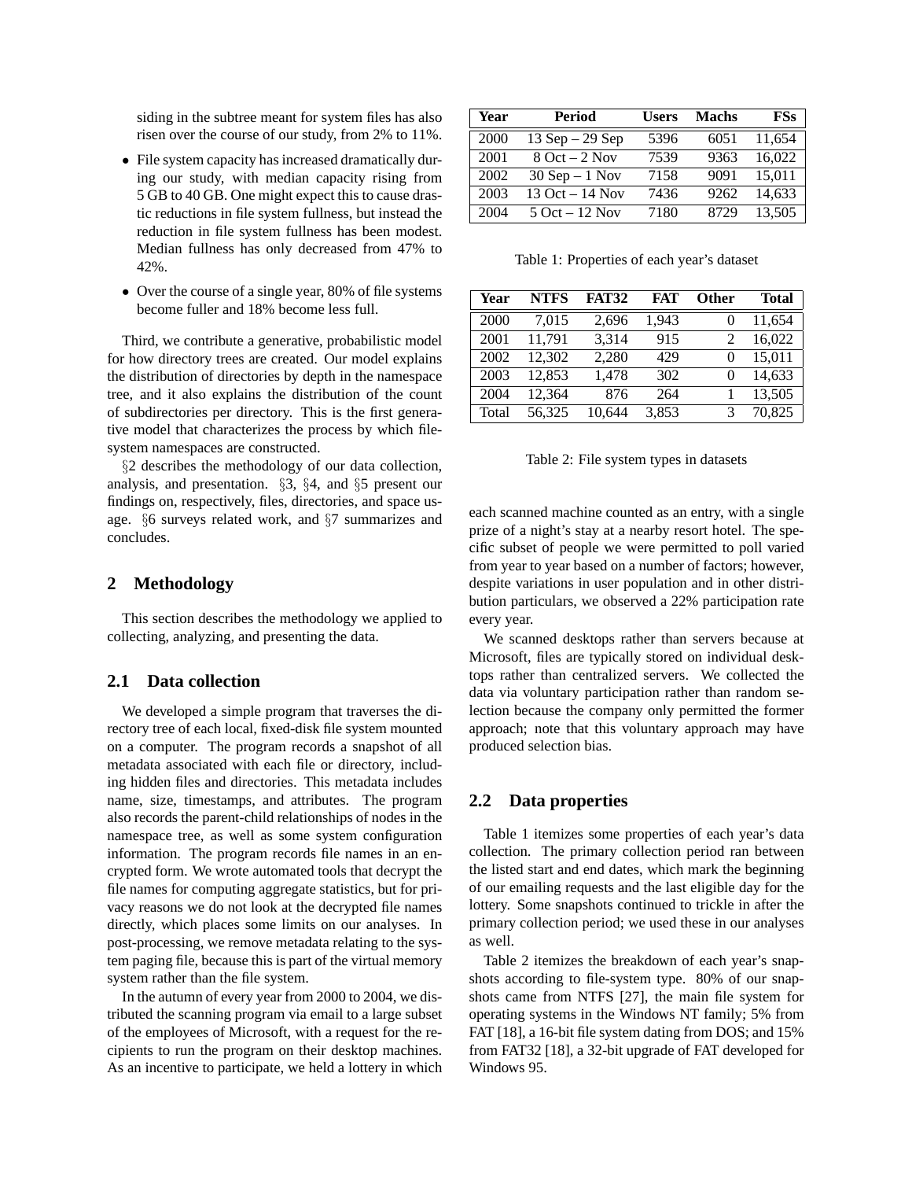siding in the subtree meant for system files has also risen over the course of our study, from 2% to 11%.

- File system capacity has increased dramatically during our study, with median capacity rising from 5 GB to 40 GB. One might expect this to cause drastic reductions in file system fullness, but instead the reduction in file system fullness has been modest. Median fullness has only decreased from 47% to 42%.
- Over the course of a single year, 80% of file systems become fuller and 18% become less full.

Third, we contribute a generative, probabilistic model for how directory trees are created. Our model explains the distribution of directories by depth in the namespace tree, and it also explains the distribution of the count of subdirectories per directory. This is the first generative model that characterizes the process by which filesystem namespaces are constructed.

§2 describes the methodology of our data collection, analysis, and presentation. §3, §4, and §5 present our findings on, respectively, files, directories, and space usage. §6 surveys related work, and §7 summarizes and concludes.

# **2 Methodology**

This section describes the methodology we applied to collecting, analyzing, and presenting the data.

# **2.1 Data collection**

We developed a simple program that traverses the directory tree of each local, fixed-disk file system mounted on a computer. The program records a snapshot of all metadata associated with each file or directory, including hidden files and directories. This metadata includes name, size, timestamps, and attributes. The program also records the parent-child relationships of nodes in the namespace tree, as well as some system configuration information. The program records file names in an encrypted form. We wrote automated tools that decrypt the file names for computing aggregate statistics, but for privacy reasons we do not look at the decrypted file names directly, which places some limits on our analyses. In post-processing, we remove metadata relating to the system paging file, because this is part of the virtual memory system rather than the file system.

In the autumn of every year from 2000 to 2004, we distributed the scanning program via email to a large subset of the employees of Microsoft, with a request for the recipients to run the program on their desktop machines. As an incentive to participate, we held a lottery in which

| Year | <b>Period</b>      | <b>Users</b> | <b>Machs</b> | <b>FSs</b> |
|------|--------------------|--------------|--------------|------------|
| 2000 | $13$ Sep $-29$ Sep | 5396         | 6051         | 11,654     |
| 2001 | $8$ Oct $-2$ Nov   | 7539         | 9363         | 16.022     |
| 2002 | $30$ Sep $-1$ Nov  | 7158         | 9091         | 15,011     |
| 2003 | 13 Oct $-14$ Nov   | 7436         | 9262         | 14,633     |
| 2004 | $5$ Oct $-12$ Nov  | 7180         | 8729         | 13,505     |

Table 1: Properties of each year's dataset

| Year  | <b>NTFS</b> | <b>FAT32</b> | FAT   | <b>Other</b> | <b>Total</b> |
|-------|-------------|--------------|-------|--------------|--------------|
| 2000  | 7,015       | 2,696        | 1,943 | $\theta$     | 11,654       |
| 2001  | 11,791      | 3,314        | 915   | 2            | 16,022       |
| 2002  | 12,302      | 2,280        | 429   | $\theta$     | 15,011       |
| 2003  | 12,853      | 1,478        | 302   | $\theta$     | 14,633       |
| 2004  | 12,364      | 876          | 264   |              | 13,505       |
| Total | 56.325      | 10,644       | 3,853 | 3            | 70,825       |

Table 2: File system types in datasets

each scanned machine counted as an entry, with a single prize of a night's stay at a nearby resort hotel. The specific subset of people we were permitted to poll varied from year to year based on a number of factors; however, despite variations in user population and in other distribution particulars, we observed a 22% participation rate every year.

We scanned desktops rather than servers because at Microsoft, files are typically stored on individual desktops rather than centralized servers. We collected the data via voluntary participation rather than random selection because the company only permitted the former approach; note that this voluntary approach may have produced selection bias.

# **2.2 Data properties**

Table 1 itemizes some properties of each year's data collection. The primary collection period ran between the listed start and end dates, which mark the beginning of our emailing requests and the last eligible day for the lottery. Some snapshots continued to trickle in after the primary collection period; we used these in our analyses as well.

Table 2 itemizes the breakdown of each year's snapshots according to file-system type. 80% of our snapshots came from NTFS [27], the main file system for operating systems in the Windows NT family; 5% from FAT [18], a 16-bit file system dating from DOS; and 15% from FAT32 [18], a 32-bit upgrade of FAT developed for Windows 95.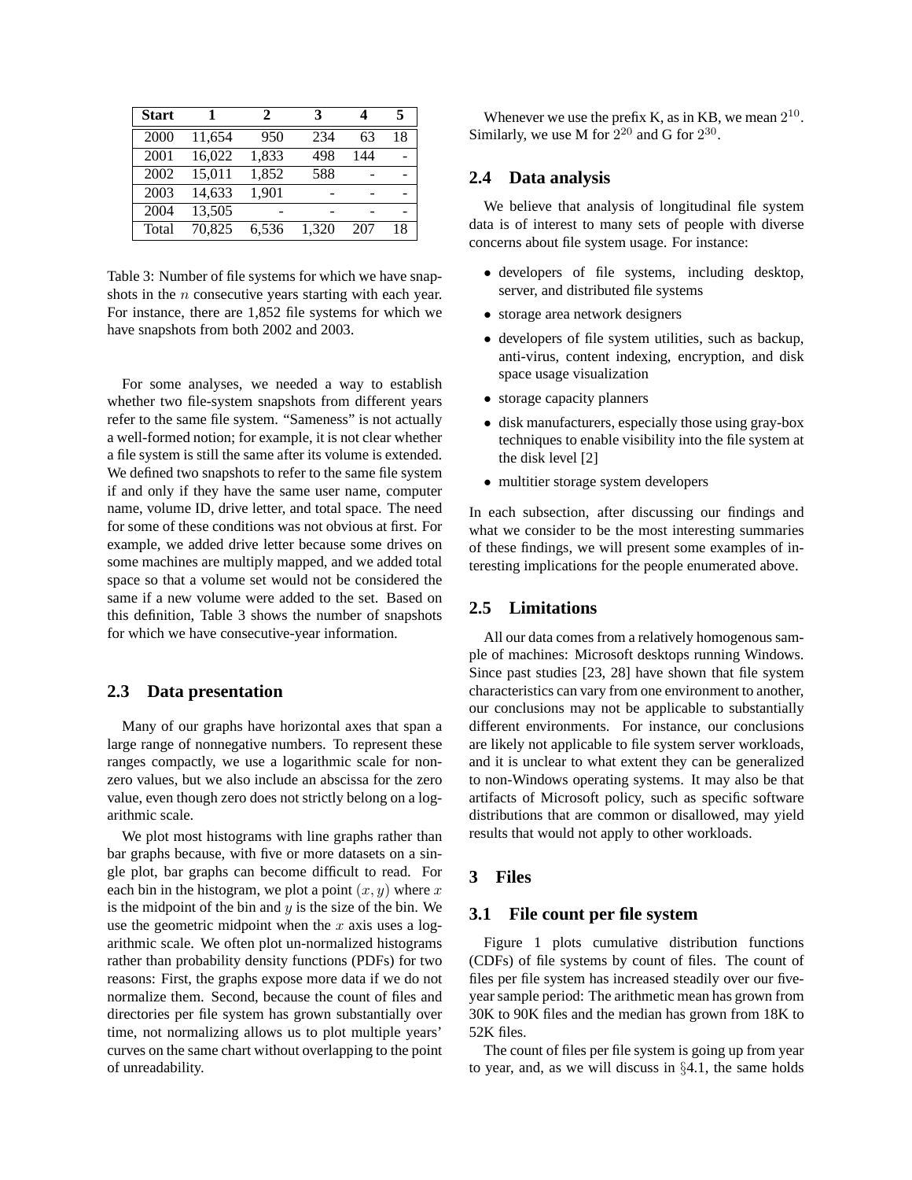| <b>Start</b> |        | 2     | 3     |     | 5  |
|--------------|--------|-------|-------|-----|----|
| 2000         | 11,654 | 950   | 234   | 63  | 18 |
| 2001         | 16,022 | 1,833 | 498   | 144 |    |
| 2002         | 15,011 | 1,852 | 588   |     |    |
| 2003         | 14.633 | 1,901 |       |     |    |
| 2004         | 13,505 |       |       |     |    |
| Total        | 70.825 | 6.536 | 1.320 | 207 | 18 |

Table 3: Number of file systems for which we have snapshots in the *n* consecutive years starting with each year. For instance, there are 1,852 file systems for which we have snapshots from both 2002 and 2003.

For some analyses, we needed a way to establish whether two file-system snapshots from different years refer to the same file system. "Sameness" is not actually a well-formed notion; for example, it is not clear whether a file system is still the same after its volume is extended. We defined two snapshots to refer to the same file system if and only if they have the same user name, computer name, volume ID, drive letter, and total space. The need for some of these conditions was not obvious at first. For example, we added drive letter because some drives on some machines are multiply mapped, and we added total space so that a volume set would not be considered the same if a new volume were added to the set. Based on this definition, Table 3 shows the number of snapshots for which we have consecutive-year information.

#### **2.3 Data presentation**

Many of our graphs have horizontal axes that span a large range of nonnegative numbers. To represent these ranges compactly, we use a logarithmic scale for nonzero values, but we also include an abscissa for the zero value, even though zero does not strictly belong on a logarithmic scale.

We plot most histograms with line graphs rather than bar graphs because, with five or more datasets on a single plot, bar graphs can become difficult to read. For each bin in the histogram, we plot a point  $(x, y)$  where x is the midpoint of the bin and  $y$  is the size of the bin. We use the geometric midpoint when the  $x$  axis uses a logarithmic scale. We often plot un-normalized histograms rather than probability density functions (PDFs) for two reasons: First, the graphs expose more data if we do not normalize them. Second, because the count of files and directories per file system has grown substantially over time, not normalizing allows us to plot multiple years' curves on the same chart without overlapping to the point of unreadability.

Whenever we use the prefix K, as in KB, we mean  $2^{10}$ . Similarly, we use M for  $2^{20}$  and G for  $2^{30}$ .

# **2.4 Data analysis**

We believe that analysis of longitudinal file system data is of interest to many sets of people with diverse concerns about file system usage. For instance:

- developers of file systems, including desktop, server, and distributed file systems
- storage area network designers
- developers of file system utilities, such as backup, anti-virus, content indexing, encryption, and disk space usage visualization
- storage capacity planners
- disk manufacturers, especially those using gray-box techniques to enable visibility into the file system at the disk level [2]
- multitier storage system developers

In each subsection, after discussing our findings and what we consider to be the most interesting summaries of these findings, we will present some examples of interesting implications for the people enumerated above.

# **2.5 Limitations**

All our data comes from a relatively homogenous sample of machines: Microsoft desktops running Windows. Since past studies [23, 28] have shown that file system characteristics can vary from one environment to another, our conclusions may not be applicable to substantially different environments. For instance, our conclusions are likely not applicable to file system server workloads, and it is unclear to what extent they can be generalized to non-Windows operating systems. It may also be that artifacts of Microsoft policy, such as specific software distributions that are common or disallowed, may yield results that would not apply to other workloads.

# **3 Files**

#### **3.1 File count per file system**

Figure 1 plots cumulative distribution functions (CDFs) of file systems by count of files. The count of files per file system has increased steadily over our fiveyear sample period: The arithmetic mean has grown from 30K to 90K files and the median has grown from 18K to 52K files.

The count of files per file system is going up from year to year, and, as we will discuss in §4.1, the same holds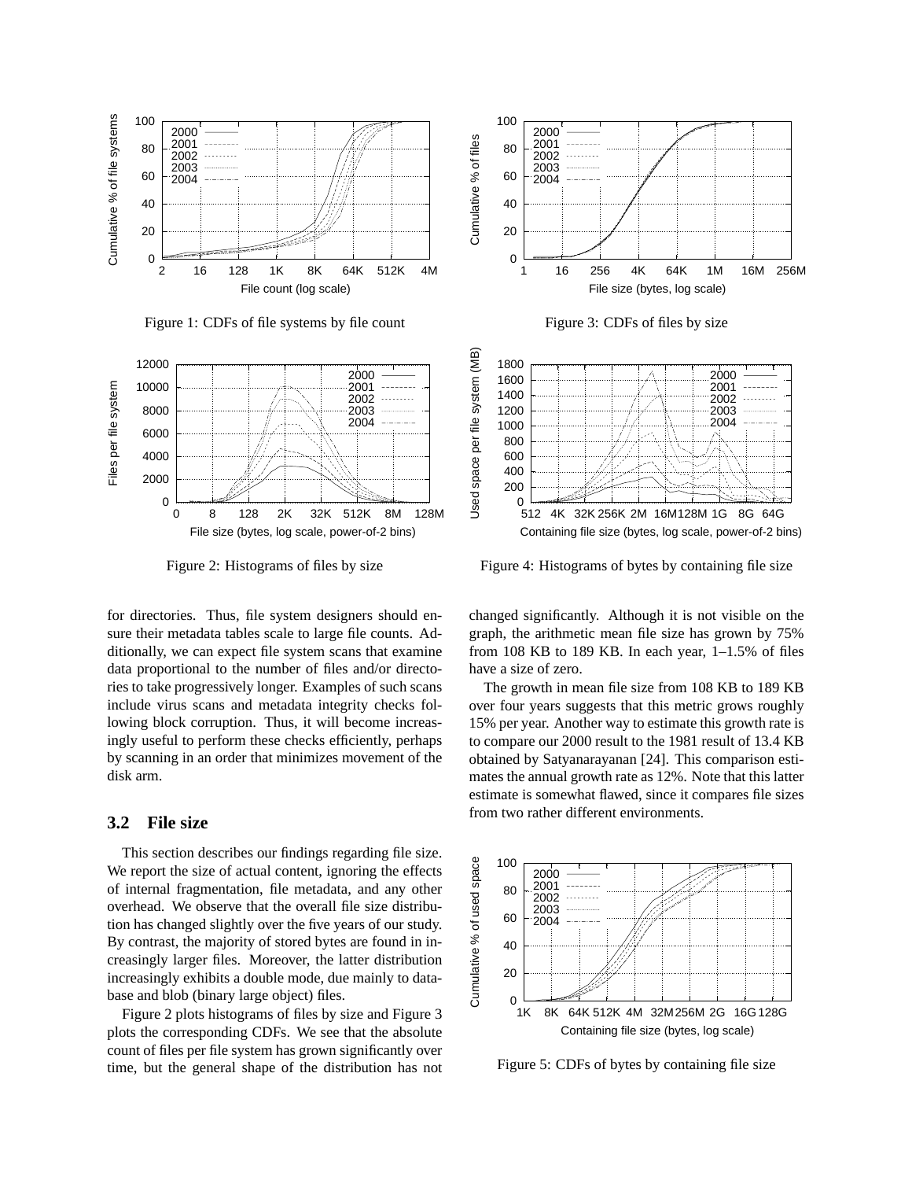

Figure 1: CDFs of file systems by file count



Figure 2: Histograms of files by size

for directories. Thus, file system designers should ensure their metadata tables scale to large file counts. Additionally, we can expect file system scans that examine data proportional to the number of files and/or directories to take progressively longer. Examples of such scans include virus scans and metadata integrity checks following block corruption. Thus, it will become increasingly useful to perform these checks efficiently, perhaps by scanning in an order that minimizes movement of the disk arm.

#### **3.2 File size**

This section describes our findings regarding file size. We report the size of actual content, ignoring the effects of internal fragmentation, file metadata, and any other overhead. We observe that the overall file size distribution has changed slightly over the five years of our study. By contrast, the majority of stored bytes are found in increasingly larger files. Moreover, the latter distribution increasingly exhibits a double mode, due mainly to database and blob (binary large object) files.

Figure 2 plots histograms of files by size and Figure 3 plots the corresponding CDFs. We see that the absolute count of files per file system has grown significantly over time, but the general shape of the distribution has not







Figure 4: Histograms of bytes by containing file size

changed significantly. Although it is not visible on the graph, the arithmetic mean file size has grown by 75% from 108 KB to 189 KB. In each year, 1–1.5% of files have a size of zero.

The growth in mean file size from 108 KB to 189 KB over four years suggests that this metric grows roughly 15% per year. Another way to estimate this growth rate is to compare our 2000 result to the 1981 result of 13.4 KB obtained by Satyanarayanan [24]. This comparison estimates the annual growth rate as 12%. Note that this latter estimate is somewhat flawed, since it compares file sizes from two rather different environments.



Figure 5: CDFs of bytes by containing file size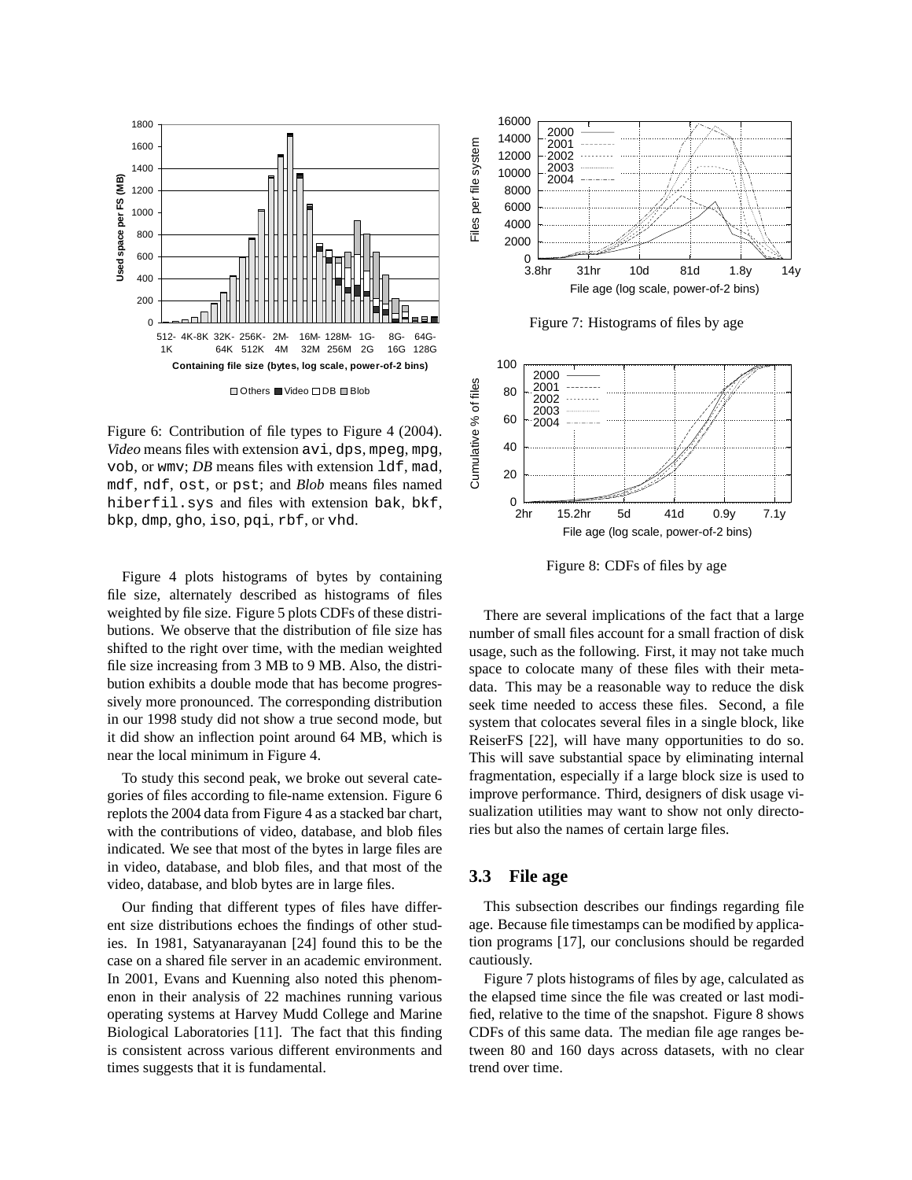

Figure 6: Contribution of file types to Figure 4 (2004). *Video* means files with extension avi, dps, mpeg, mpg, vob, or wmv; *DB* means files with extension ldf, mad, mdf, ndf, ost, or pst; and *Blob* means files named hiberfil.sys and files with extension bak, bkf, bkp, dmp, gho, iso, pqi, rbf, or vhd.

Figure 4 plots histograms of bytes by containing file size, alternately described as histograms of files weighted by file size. Figure 5 plots CDFs of these distributions. We observe that the distribution of file size has shifted to the right over time, with the median weighted file size increasing from 3 MB to 9 MB. Also, the distribution exhibits a double mode that has become progressively more pronounced. The corresponding distribution in our 1998 study did not show a true second mode, but it did show an inflection point around 64 MB, which is near the local minimum in Figure 4.

To study this second peak, we broke out several categories of files according to file-name extension. Figure 6 replots the 2004 data from Figure 4 as a stacked bar chart, with the contributions of video, database, and blob files indicated. We see that most of the bytes in large files are in video, database, and blob files, and that most of the video, database, and blob bytes are in large files.

Our finding that different types of files have different size distributions echoes the findings of other studies. In 1981, Satyanarayanan [24] found this to be the case on a shared file server in an academic environment. In 2001, Evans and Kuenning also noted this phenomenon in their analysis of 22 machines running various operating systems at Harvey Mudd College and Marine Biological Laboratories [11]. The fact that this finding is consistent across various different environments and times suggests that it is fundamental.



Figure 7: Histograms of files by age



Figure 8: CDFs of files by age

There are several implications of the fact that a large number of small files account for a small fraction of disk usage, such as the following. First, it may not take much space to colocate many of these files with their metadata. This may be a reasonable way to reduce the disk seek time needed to access these files. Second, a file system that colocates several files in a single block, like ReiserFS [22], will have many opportunities to do so. This will save substantial space by eliminating internal fragmentation, especially if a large block size is used to improve performance. Third, designers of disk usage visualization utilities may want to show not only directories but also the names of certain large files.

# **3.3 File age**

This subsection describes our findings regarding file age. Because file timestamps can be modified by application programs [17], our conclusions should be regarded cautiously.

Figure 7 plots histograms of files by age, calculated as the elapsed time since the file was created or last modified, relative to the time of the snapshot. Figure 8 shows CDFs of this same data. The median file age ranges between 80 and 160 days across datasets, with no clear trend over time.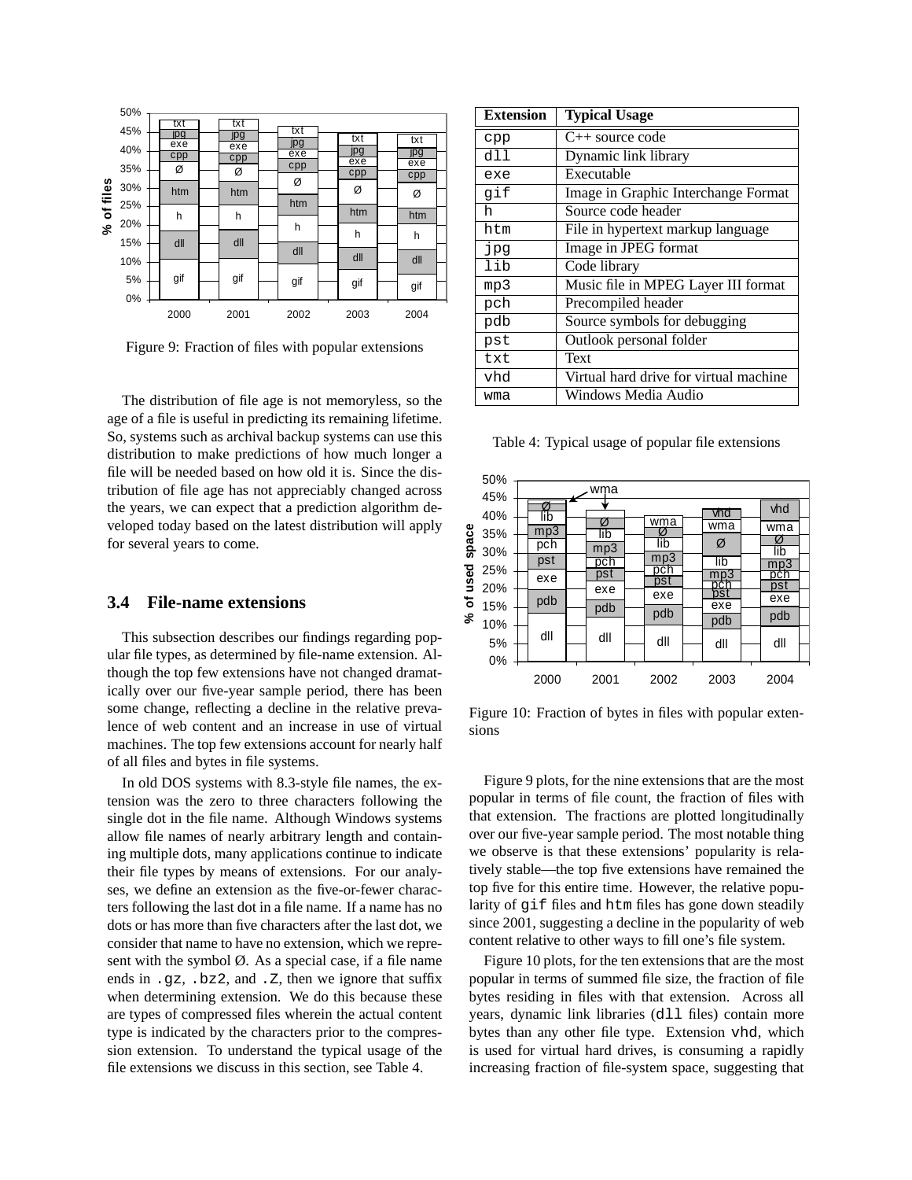

Figure 9: Fraction of files with popular extensions

The distribution of file age is not memoryless, so the age of a file is useful in predicting its remaining lifetime. So, systems such as archival backup systems can use this distribution to make predictions of how much longer a file will be needed based on how old it is. Since the distribution of file age has not appreciably changed across the years, we can expect that a prediction algorithm developed today based on the latest distribution will apply for several years to come.

#### **3.4 File-name extensions**

This subsection describes our findings regarding popular file types, as determined by file-name extension. Although the top few extensions have not changed dramatically over our five-year sample period, there has been some change, reflecting a decline in the relative prevalence of web content and an increase in use of virtual machines. The top few extensions account for nearly half of all files and bytes in file systems.

In old DOS systems with 8.3-style file names, the extension was the zero to three characters following the single dot in the file name. Although Windows systems allow file names of nearly arbitrary length and containing multiple dots, many applications continue to indicate their file types by means of extensions. For our analyses, we define an extension as the five-or-fewer characters following the last dot in a file name. If a name has no dots or has more than five characters after the last dot, we consider that name to have no extension, which we represent with the symbol  $\emptyset$ . As a special case, if a file name ends in .gz, .bz2, and .Z, then we ignore that suffix when determining extension. We do this because these are types of compressed files wherein the actual content type is indicated by the characters prior to the compression extension. To understand the typical usage of the file extensions we discuss in this section, see Table 4.

| <b>Extension</b> | <b>Typical Usage</b>                   |
|------------------|----------------------------------------|
| cpp              | $C_{++}$ source code                   |
| dll              | Dynamic link library                   |
| exe              | Executable                             |
| gif              | Image in Graphic Interchange Format    |
| h.               | Source code header                     |
| htm              | File in hypertext markup language      |
| pq               | Image in JPEG format                   |
| lib              | Code library                           |
| mp3              | Music file in MPEG Layer III format    |
| pch              | Precompiled header                     |
| pdb              | Source symbols for debugging           |
| pst              | Outlook personal folder                |
| txt              | Text                                   |
| vhd              | Virtual hard drive for virtual machine |
| wma              | Windows Media Audio                    |

Table 4: Typical usage of popular file extensions



Figure 10: Fraction of bytes in files with popular extensions

Figure 9 plots, for the nine extensions that are the most popular in terms of file count, the fraction of files with that extension. The fractions are plotted longitudinally over our five-year sample period. The most notable thing we observe is that these extensions' popularity is relatively stable—the top five extensions have remained the top five for this entire time. However, the relative popularity of gif files and htm files has gone down steadily since 2001, suggesting a decline in the popularity of web content relative to other ways to fill one's file system.

Figure 10 plots, for the ten extensions that are the most popular in terms of summed file size, the fraction of file bytes residing in files with that extension. Across all years, dynamic link libraries (dll files) contain more bytes than any other file type. Extension vhd, which is used for virtual hard drives, is consuming a rapidly increasing fraction of file-system space, suggesting that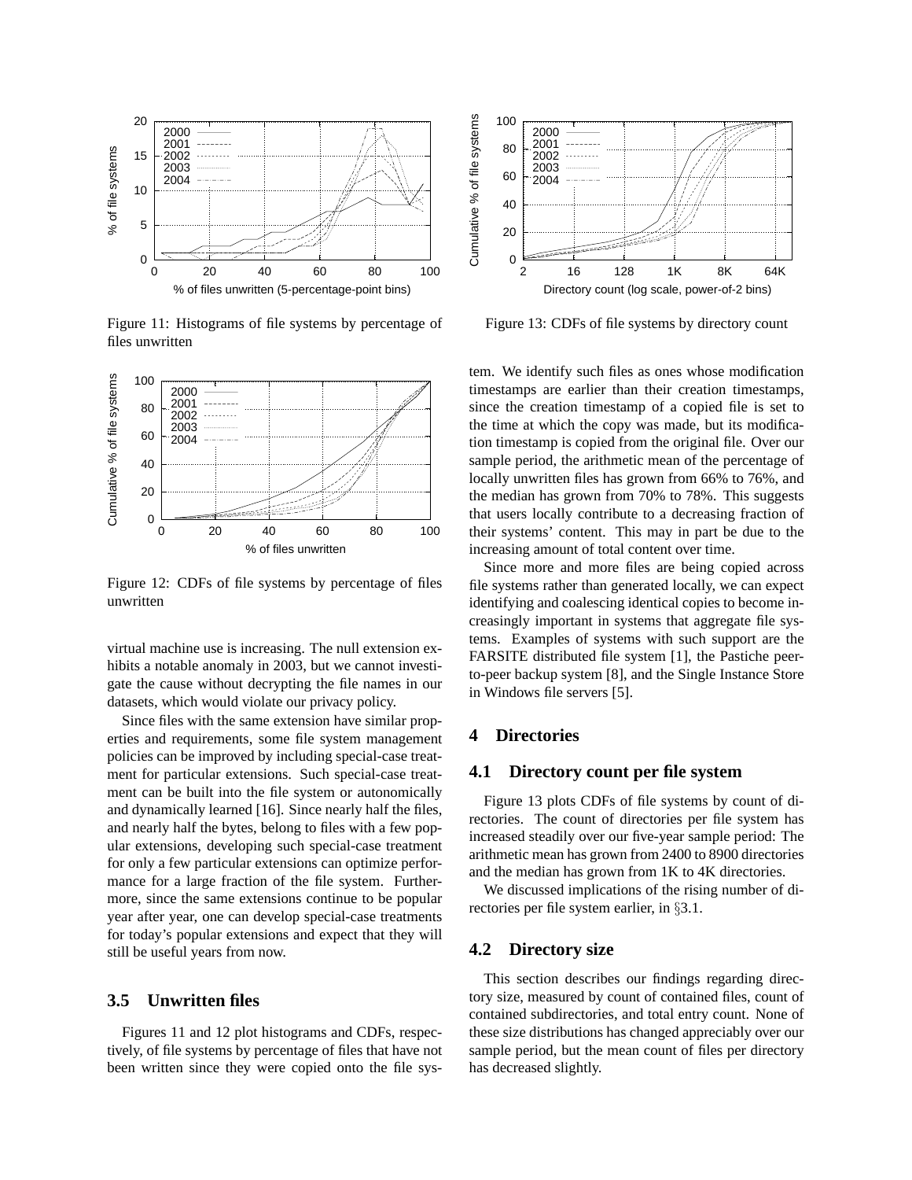

Figure 11: Histograms of file systems by percentage of files unwritten



Figure 12: CDFs of file systems by percentage of files unwritten

virtual machine use is increasing. The null extension exhibits a notable anomaly in 2003, but we cannot investigate the cause without decrypting the file names in our datasets, which would violate our privacy policy.

Since files with the same extension have similar properties and requirements, some file system management policies can be improved by including special-case treatment for particular extensions. Such special-case treatment can be built into the file system or autonomically and dynamically learned [16]. Since nearly half the files, and nearly half the bytes, belong to files with a few popular extensions, developing such special-case treatment for only a few particular extensions can optimize performance for a large fraction of the file system. Furthermore, since the same extensions continue to be popular year after year, one can develop special-case treatments for today's popular extensions and expect that they will still be useful years from now.

### **3.5 Unwritten files**

Figures 11 and 12 plot histograms and CDFs, respectively, of file systems by percentage of files that have not been written since they were copied onto the file sys-



Figure 13: CDFs of file systems by directory count

tem. We identify such files as ones whose modification timestamps are earlier than their creation timestamps, since the creation timestamp of a copied file is set to the time at which the copy was made, but its modification timestamp is copied from the original file. Over our sample period, the arithmetic mean of the percentage of locally unwritten files has grown from 66% to 76%, and the median has grown from 70% to 78%. This suggests that users locally contribute to a decreasing fraction of their systems' content. This may in part be due to the increasing amount of total content over time.

Since more and more files are being copied across file systems rather than generated locally, we can expect identifying and coalescing identical copies to become increasingly important in systems that aggregate file systems. Examples of systems with such support are the FARSITE distributed file system [1], the Pastiche peerto-peer backup system [8], and the Single Instance Store in Windows file servers [5].

# **4 Directories**

#### **4.1 Directory count per file system**

Figure 13 plots CDFs of file systems by count of directories. The count of directories per file system has increased steadily over our five-year sample period: The arithmetic mean has grown from 2400 to 8900 directories and the median has grown from 1K to 4K directories.

We discussed implications of the rising number of directories per file system earlier, in §3.1.

# **4.2 Directory size**

This section describes our findings regarding directory size, measured by count of contained files, count of contained subdirectories, and total entry count. None of these size distributions has changed appreciably over our sample period, but the mean count of files per directory has decreased slightly.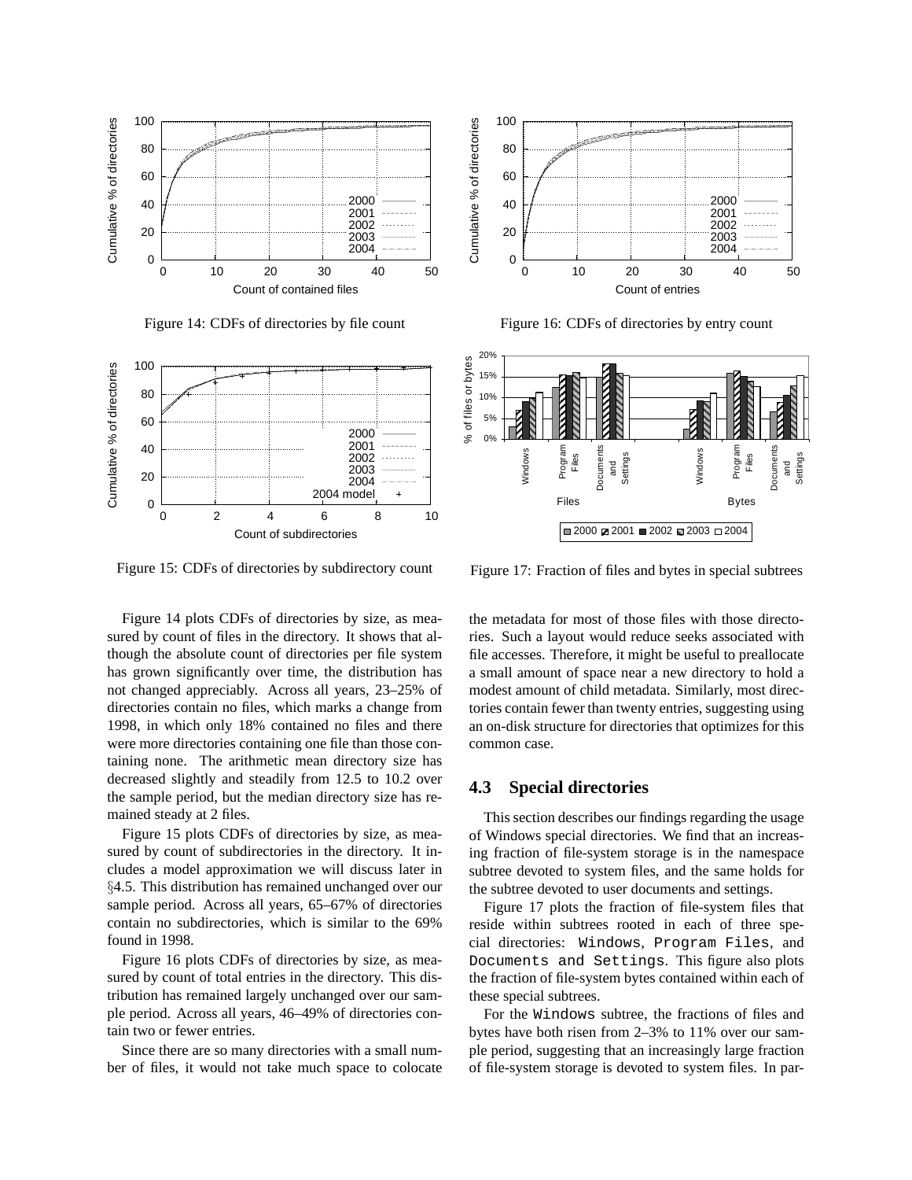

Figure 14: CDFs of directories by file count





Figure 16: CDFs of directories by entry count



Figure 15: CDFs of directories by subdirectory count

Figure 17: Fraction of files and bytes in special subtrees

Figure 14 plots CDFs of directories by size, as measured by count of files in the directory. It shows that although the absolute count of directories per file system has grown significantly over time, the distribution has not changed appreciably. Across all years, 23–25% of directories contain no files, which marks a change from 1998, in which only 18% contained no files and there were more directories containing one file than those containing none. The arithmetic mean directory size has decreased slightly and steadily from 12.5 to 10.2 over the sample period, but the median directory size has remained steady at 2 files.

Figure 15 plots CDFs of directories by size, as measured by count of subdirectories in the directory. It includes a model approximation we will discuss later in §4.5. This distribution has remained unchanged over our sample period. Across all years, 65–67% of directories contain no subdirectories, which is similar to the 69% found in 1998.

Figure 16 plots CDFs of directories by size, as measured by count of total entries in the directory. This distribution has remained largely unchanged over our sample period. Across all years, 46–49% of directories contain two or fewer entries.

Since there are so many directories with a small number of files, it would not take much space to colocate the metadata for most of those files with those directories. Such a layout would reduce seeks associated with file accesses. Therefore, it might be useful to preallocate a small amount of space near a new directory to hold a modest amount of child metadata. Similarly, most directories contain fewer than twenty entries, suggesting using an on-disk structure for directories that optimizes for this common case.

# **4.3 Special directories**

This section describes our findings regarding the usage of Windows special directories. We find that an increasing fraction of file-system storage is in the namespace subtree devoted to system files, and the same holds for the subtree devoted to user documents and settings.

Figure 17 plots the fraction of file-system files that reside within subtrees rooted in each of three special directories: Windows, Program Files, and Documents and Settings. This figure also plots the fraction of file-system bytes contained within each of these special subtrees.

For the Windows subtree, the fractions of files and bytes have both risen from 2–3% to 11% over our sample period, suggesting that an increasingly large fraction of file-system storage is devoted to system files. In par-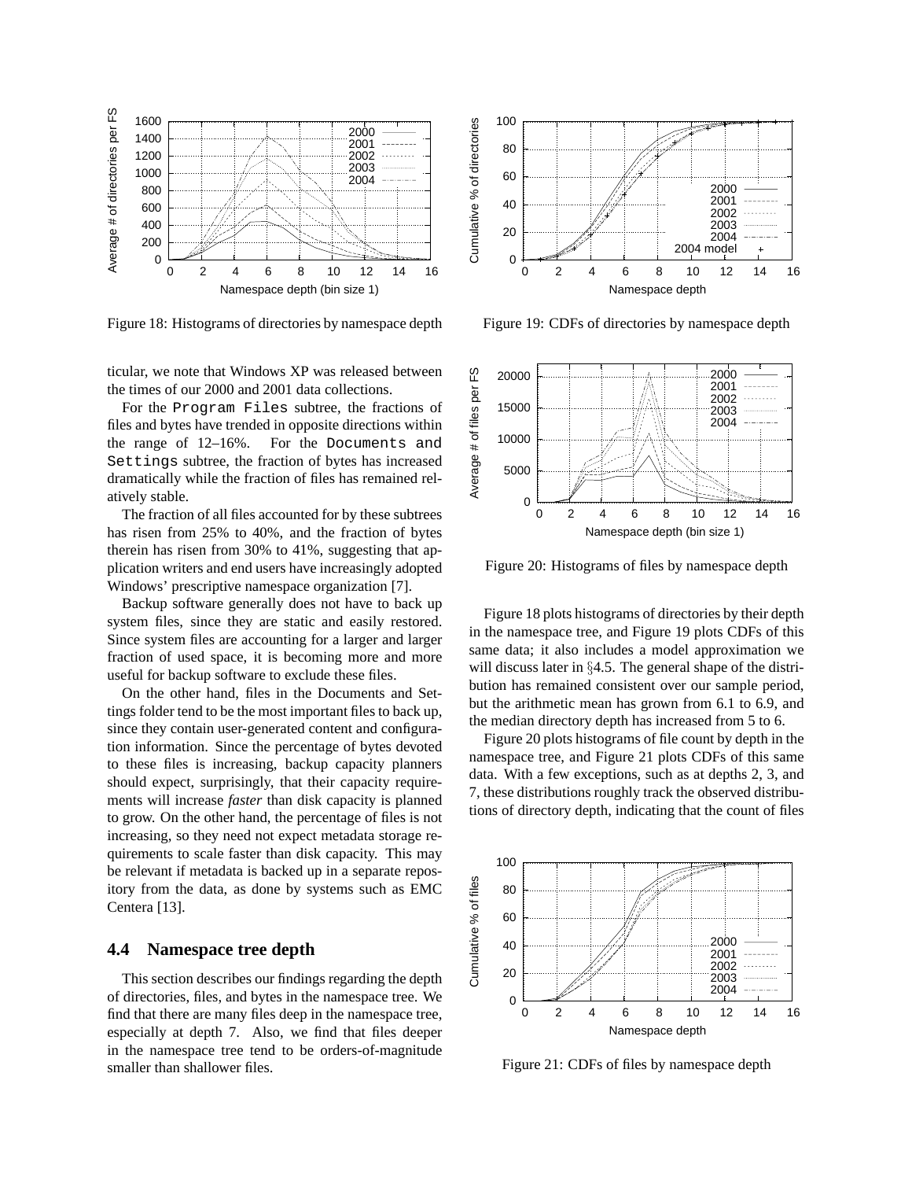

Figure 18: Histograms of directories by namespace depth

ticular, we note that Windows XP was released between the times of our 2000 and 2001 data collections.

For the Program Files subtree, the fractions of files and bytes have trended in opposite directions within the range of 12–16%. For the Documents and Settings subtree, the fraction of bytes has increased dramatically while the fraction of files has remained relatively stable.

The fraction of all files accounted for by these subtrees has risen from 25% to 40%, and the fraction of bytes therein has risen from 30% to 41%, suggesting that application writers and end users have increasingly adopted Windows' prescriptive namespace organization [7].

Backup software generally does not have to back up system files, since they are static and easily restored. Since system files are accounting for a larger and larger fraction of used space, it is becoming more and more useful for backup software to exclude these files.

On the other hand, files in the Documents and Settings folder tend to be the most important files to back up, since they contain user-generated content and configuration information. Since the percentage of bytes devoted to these files is increasing, backup capacity planners should expect, surprisingly, that their capacity requirements will increase *faster* than disk capacity is planned to grow. On the other hand, the percentage of files is not increasing, so they need not expect metadata storage requirements to scale faster than disk capacity. This may be relevant if metadata is backed up in a separate repository from the data, as done by systems such as EMC Centera [13].

# **4.4 Namespace tree depth**

This section describes our findings regarding the depth of directories, files, and bytes in the namespace tree. We find that there are many files deep in the namespace tree, especially at depth 7. Also, we find that files deeper in the namespace tree tend to be orders-of-magnitude smaller than shallower files.



Figure 19: CDFs of directories by namespace depth



Figure 20: Histograms of files by namespace depth

Figure 18 plots histograms of directories by their depth in the namespace tree, and Figure 19 plots CDFs of this same data; it also includes a model approximation we will discuss later in §4.5. The general shape of the distribution has remained consistent over our sample period, but the arithmetic mean has grown from 6.1 to 6.9, and the median directory depth has increased from 5 to 6.

Figure 20 plots histograms of file count by depth in the namespace tree, and Figure 21 plots CDFs of this same data. With a few exceptions, such as at depths 2, 3, and 7, these distributions roughly track the observed distributions of directory depth, indicating that the count of files



Figure 21: CDFs of files by namespace depth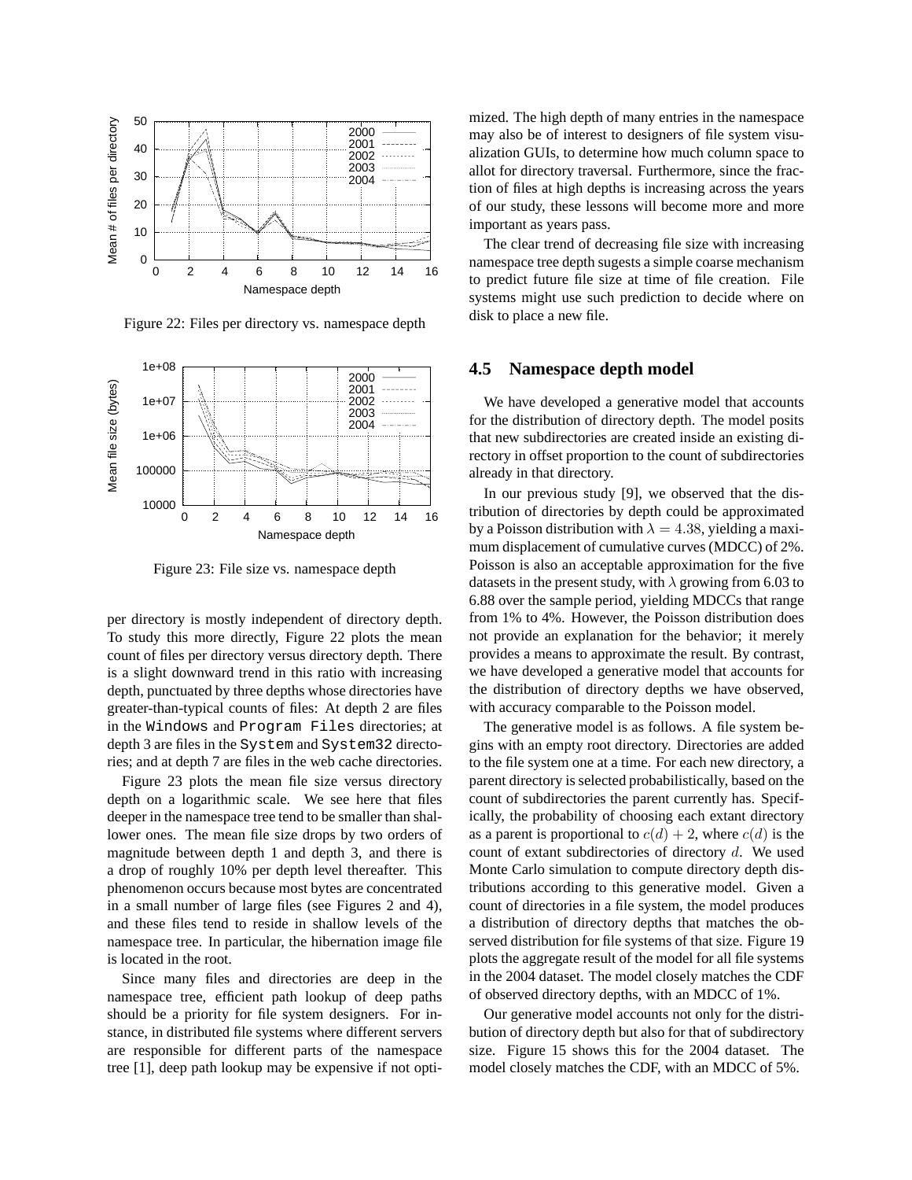

Figure 22: Files per directory vs. namespace depth



Figure 23: File size vs. namespace depth

per directory is mostly independent of directory depth. To study this more directly, Figure 22 plots the mean count of files per directory versus directory depth. There is a slight downward trend in this ratio with increasing depth, punctuated by three depths whose directories have greater-than-typical counts of files: At depth 2 are files in the Windows and Program Files directories; at depth 3 are files in the System and System32 directories; and at depth 7 are files in the web cache directories.

Figure 23 plots the mean file size versus directory depth on a logarithmic scale. We see here that files deeper in the namespace tree tend to be smaller than shallower ones. The mean file size drops by two orders of magnitude between depth 1 and depth 3, and there is a drop of roughly 10% per depth level thereafter. This phenomenon occurs because most bytes are concentrated in a small number of large files (see Figures 2 and 4), and these files tend to reside in shallow levels of the namespace tree. In particular, the hibernation image file is located in the root.

Since many files and directories are deep in the namespace tree, efficient path lookup of deep paths should be a priority for file system designers. For instance, in distributed file systems where different servers are responsible for different parts of the namespace tree [1], deep path lookup may be expensive if not optimized. The high depth of many entries in the namespace may also be of interest to designers of file system visualization GUIs, to determine how much column space to allot for directory traversal. Furthermore, since the fraction of files at high depths is increasing across the years of our study, these lessons will become more and more important as years pass.

The clear trend of decreasing file size with increasing namespace tree depth sugests a simple coarse mechanism to predict future file size at time of file creation. File systems might use such prediction to decide where on disk to place a new file.

#### **4.5 Namespace depth model**

We have developed a generative model that accounts for the distribution of directory depth. The model posits that new subdirectories are created inside an existing directory in offset proportion to the count of subdirectories already in that directory.

In our previous study [9], we observed that the distribution of directories by depth could be approximated by a Poisson distribution with  $\lambda = 4.38$ , yielding a maximum displacement of cumulative curves (MDCC) of 2%. Poisson is also an acceptable approximation for the five datasets in the present study, with  $\lambda$  growing from 6.03 to 6.88 over the sample period, yielding MDCCs that range from 1% to 4%. However, the Poisson distribution does not provide an explanation for the behavior; it merely provides a means to approximate the result. By contrast, we have developed a generative model that accounts for the distribution of directory depths we have observed, with accuracy comparable to the Poisson model.

The generative model is as follows. A file system begins with an empty root directory. Directories are added to the file system one at a time. For each new directory, a parent directory is selected probabilistically, based on the count of subdirectories the parent currently has. Specifically, the probability of choosing each extant directory as a parent is proportional to  $c(d) + 2$ , where  $c(d)$  is the count of extant subdirectories of directory  $d$ . We used Monte Carlo simulation to compute directory depth distributions according to this generative model. Given a count of directories in a file system, the model produces a distribution of directory depths that matches the observed distribution for file systems of that size. Figure 19 plots the aggregate result of the model for all file systems in the 2004 dataset. The model closely matches the CDF of observed directory depths, with an MDCC of 1%.

Our generative model accounts not only for the distribution of directory depth but also for that of subdirectory size. Figure 15 shows this for the 2004 dataset. The model closely matches the CDF, with an MDCC of 5%.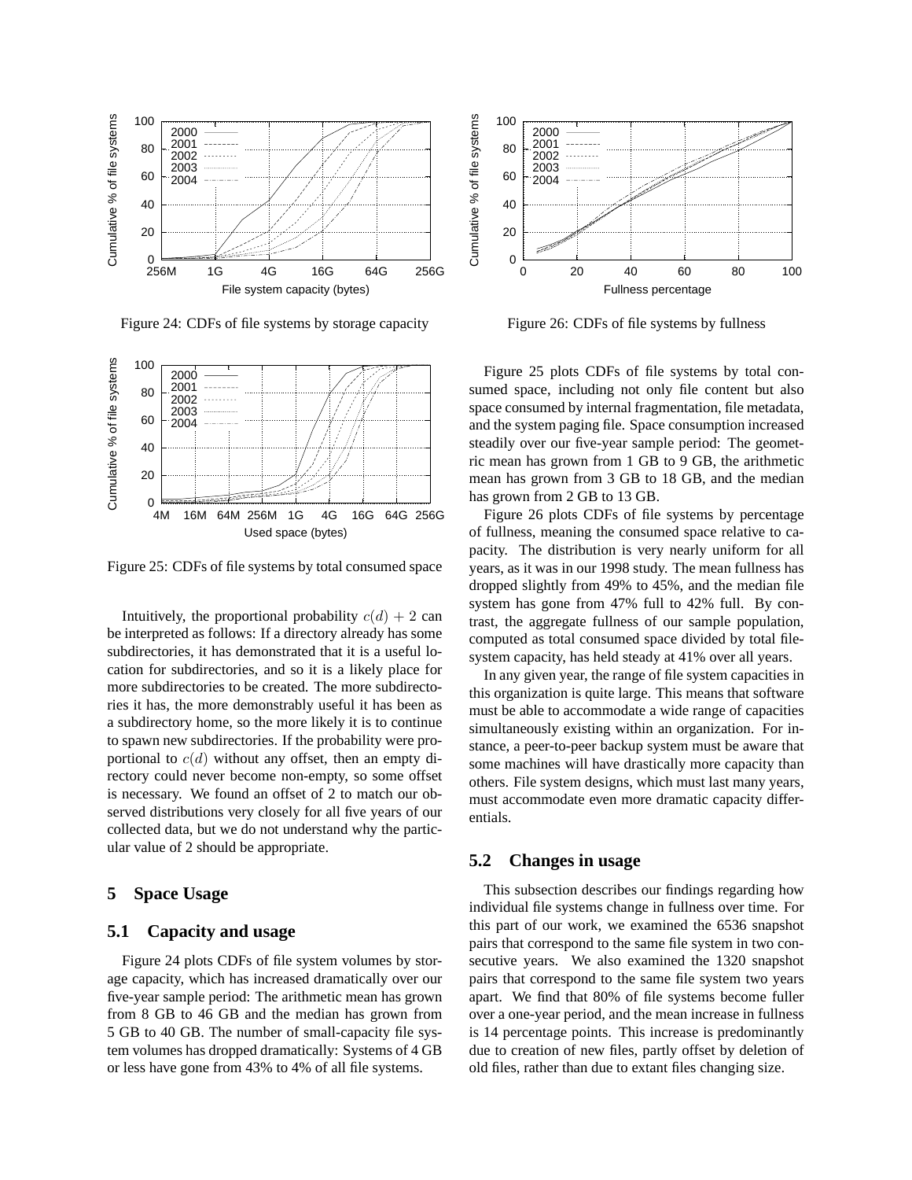

Figure 24: CDFs of file systems by storage capacity



Figure 25: CDFs of file systems by total consumed space

Intuitively, the proportional probability  $c(d) + 2$  can be interpreted as follows: If a directory already has some subdirectories, it has demonstrated that it is a useful location for subdirectories, and so it is a likely place for more subdirectories to be created. The more subdirectories it has, the more demonstrably useful it has been as a subdirectory home, so the more likely it is to continue to spawn new subdirectories. If the probability were proportional to  $c(d)$  without any offset, then an empty directory could never become non-empty, so some offset is necessary. We found an offset of 2 to match our observed distributions very closely for all five years of our collected data, but we do not understand why the particular value of 2 should be appropriate.

# **5 Space Usage**

# **5.1 Capacity and usage**

Figure 24 plots CDFs of file system volumes by storage capacity, which has increased dramatically over our five-year sample period: The arithmetic mean has grown from 8 GB to 46 GB and the median has grown from 5 GB to 40 GB. The number of small-capacity file system volumes has dropped dramatically: Systems of 4 GB or less have gone from 43% to 4% of all file systems.



Figure 26: CDFs of file systems by fullness

Figure 25 plots CDFs of file systems by total consumed space, including not only file content but also space consumed by internal fragmentation, file metadata, and the system paging file. Space consumption increased steadily over our five-year sample period: The geometric mean has grown from 1 GB to 9 GB, the arithmetic mean has grown from 3 GB to 18 GB, and the median has grown from 2 GB to 13 GB.

Figure 26 plots CDFs of file systems by percentage of fullness, meaning the consumed space relative to capacity. The distribution is very nearly uniform for all years, as it was in our 1998 study. The mean fullness has dropped slightly from 49% to 45%, and the median file system has gone from 47% full to 42% full. By contrast, the aggregate fullness of our sample population, computed as total consumed space divided by total filesystem capacity, has held steady at 41% over all years.

In any given year, the range of file system capacities in this organization is quite large. This means that software must be able to accommodate a wide range of capacities simultaneously existing within an organization. For instance, a peer-to-peer backup system must be aware that some machines will have drastically more capacity than others. File system designs, which must last many years, must accommodate even more dramatic capacity differentials.

# **5.2 Changes in usage**

This subsection describes our findings regarding how individual file systems change in fullness over time. For this part of our work, we examined the 6536 snapshot pairs that correspond to the same file system in two consecutive years. We also examined the 1320 snapshot pairs that correspond to the same file system two years apart. We find that 80% of file systems become fuller over a one-year period, and the mean increase in fullness is 14 percentage points. This increase is predominantly due to creation of new files, partly offset by deletion of old files, rather than due to extant files changing size.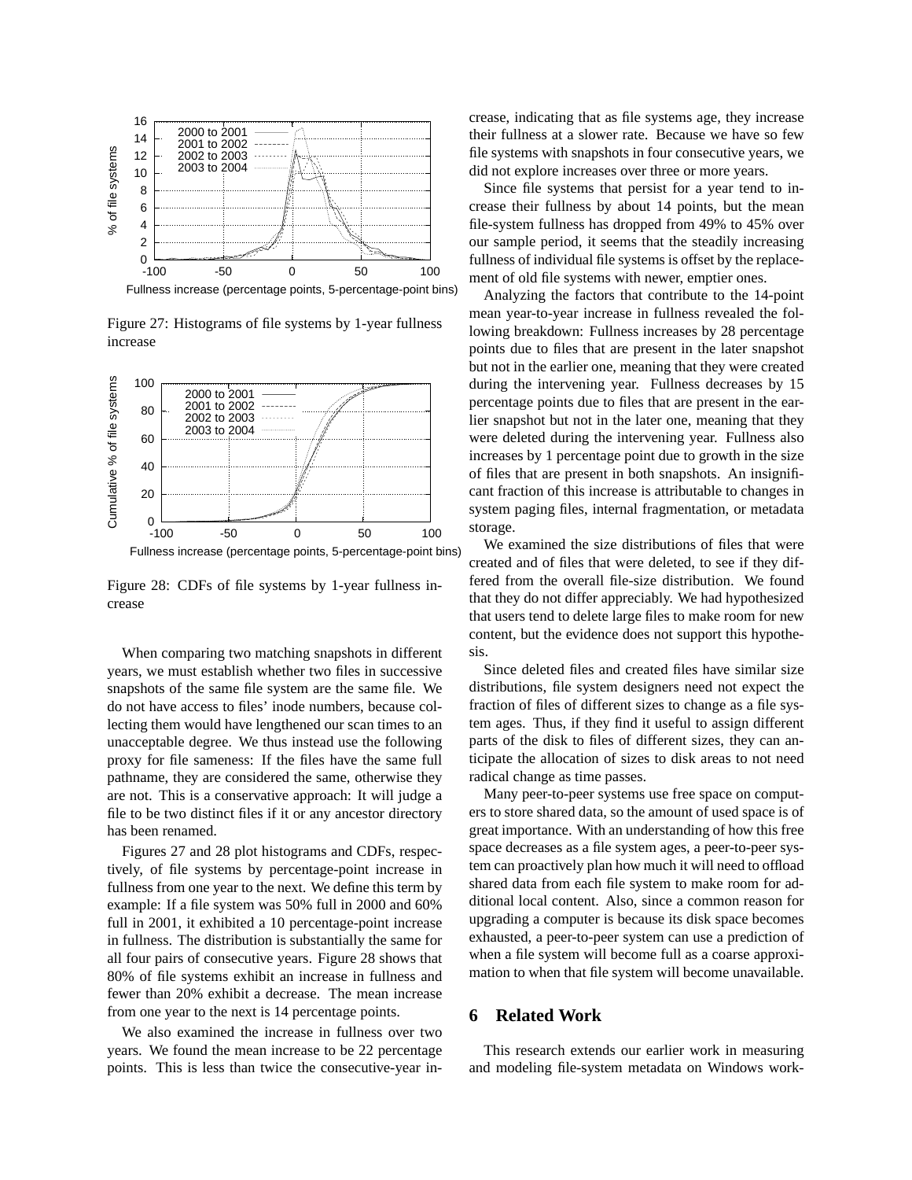

Figure 27: Histograms of file systems by 1-year fullness increase



Fullness increase (percentage points, 5-percentage-point bins)

Figure 28: CDFs of file systems by 1-year fullness increase

When comparing two matching snapshots in different years, we must establish whether two files in successive snapshots of the same file system are the same file. We do not have access to files' inode numbers, because collecting them would have lengthened our scan times to an unacceptable degree. We thus instead use the following proxy for file sameness: If the files have the same full pathname, they are considered the same, otherwise they are not. This is a conservative approach: It will judge a file to be two distinct files if it or any ancestor directory has been renamed.

Figures 27 and 28 plot histograms and CDFs, respectively, of file systems by percentage-point increase in fullness from one year to the next. We define this term by example: If a file system was 50% full in 2000 and 60% full in 2001, it exhibited a 10 percentage-point increase in fullness. The distribution is substantially the same for all four pairs of consecutive years. Figure 28 shows that 80% of file systems exhibit an increase in fullness and fewer than 20% exhibit a decrease. The mean increase from one year to the next is 14 percentage points.

We also examined the increase in fullness over two years. We found the mean increase to be 22 percentage points. This is less than twice the consecutive-year increase, indicating that as file systems age, they increase their fullness at a slower rate. Because we have so few file systems with snapshots in four consecutive years, we did not explore increases over three or more years.

Since file systems that persist for a year tend to increase their fullness by about 14 points, but the mean file-system fullness has dropped from 49% to 45% over our sample period, it seems that the steadily increasing fullness of individual file systems is offset by the replacement of old file systems with newer, emptier ones.

Analyzing the factors that contribute to the 14-point mean year-to-year increase in fullness revealed the following breakdown: Fullness increases by 28 percentage points due to files that are present in the later snapshot but not in the earlier one, meaning that they were created during the intervening year. Fullness decreases by 15 percentage points due to files that are present in the earlier snapshot but not in the later one, meaning that they were deleted during the intervening year. Fullness also increases by 1 percentage point due to growth in the size of files that are present in both snapshots. An insignificant fraction of this increase is attributable to changes in system paging files, internal fragmentation, or metadata storage.

We examined the size distributions of files that were created and of files that were deleted, to see if they differed from the overall file-size distribution. We found that they do not differ appreciably. We had hypothesized that users tend to delete large files to make room for new content, but the evidence does not support this hypothesis.

Since deleted files and created files have similar size distributions, file system designers need not expect the fraction of files of different sizes to change as a file system ages. Thus, if they find it useful to assign different parts of the disk to files of different sizes, they can anticipate the allocation of sizes to disk areas to not need radical change as time passes.

Many peer-to-peer systems use free space on computers to store shared data, so the amount of used space is of great importance. With an understanding of how this free space decreases as a file system ages, a peer-to-peer system can proactively plan how much it will need to offload shared data from each file system to make room for additional local content. Also, since a common reason for upgrading a computer is because its disk space becomes exhausted, a peer-to-peer system can use a prediction of when a file system will become full as a coarse approximation to when that file system will become unavailable.

# **6 Related Work**

This research extends our earlier work in measuring and modeling file-system metadata on Windows work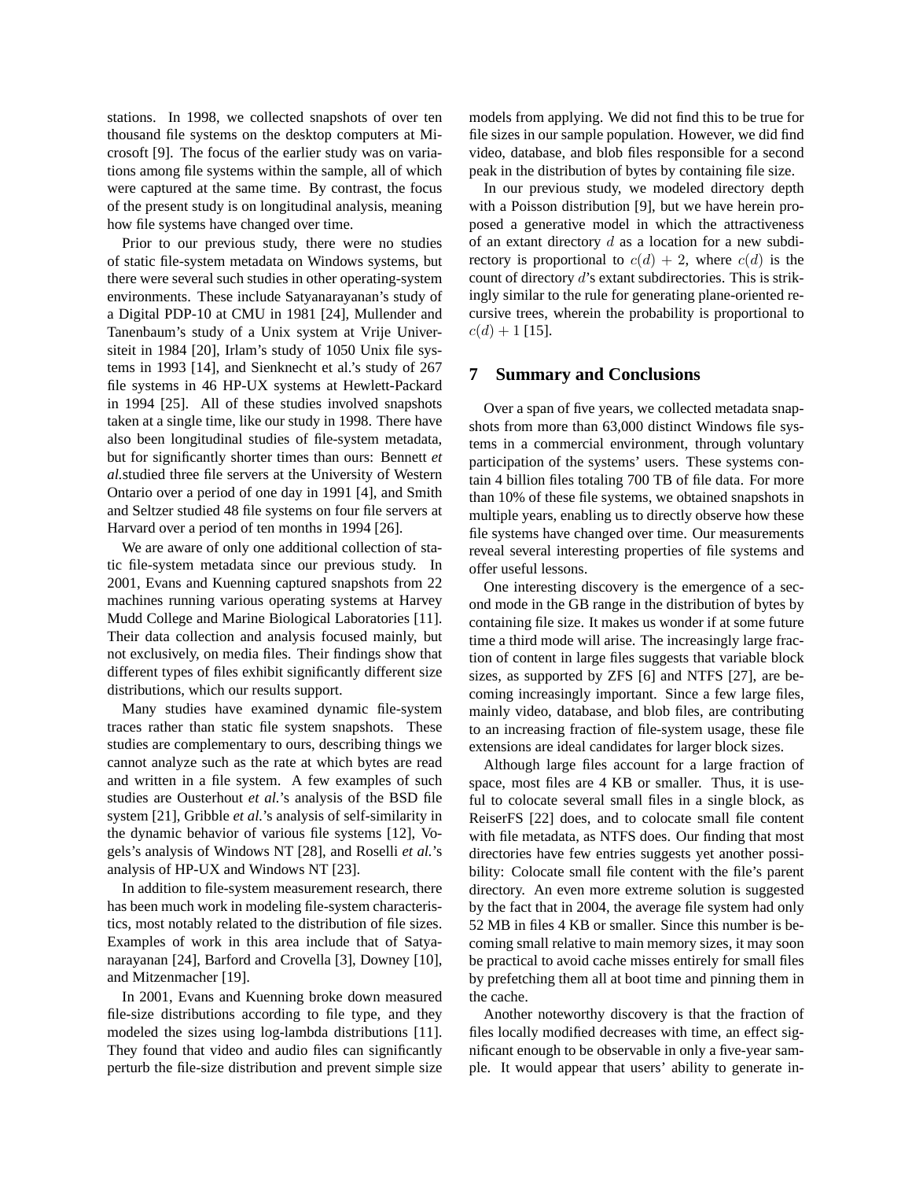stations. In 1998, we collected snapshots of over ten thousand file systems on the desktop computers at Microsoft [9]. The focus of the earlier study was on variations among file systems within the sample, all of which were captured at the same time. By contrast, the focus of the present study is on longitudinal analysis, meaning how file systems have changed over time.

Prior to our previous study, there were no studies of static file-system metadata on Windows systems, but there were several such studies in other operating-system environments. These include Satyanarayanan's study of a Digital PDP-10 at CMU in 1981 [24], Mullender and Tanenbaum's study of a Unix system at Vrije Universiteit in 1984 [20], Irlam's study of 1050 Unix file systems in 1993 [14], and Sienknecht et al.'s study of 267 file systems in 46 HP-UX systems at Hewlett-Packard in 1994 [25]. All of these studies involved snapshots taken at a single time, like our study in 1998. There have also been longitudinal studies of file-system metadata, but for significantly shorter times than ours: Bennett *et al.*studied three file servers at the University of Western Ontario over a period of one day in 1991 [4], and Smith and Seltzer studied 48 file systems on four file servers at Harvard over a period of ten months in 1994 [26].

We are aware of only one additional collection of static file-system metadata since our previous study. In 2001, Evans and Kuenning captured snapshots from 22 machines running various operating systems at Harvey Mudd College and Marine Biological Laboratories [11]. Their data collection and analysis focused mainly, but not exclusively, on media files. Their findings show that different types of files exhibit significantly different size distributions, which our results support.

Many studies have examined dynamic file-system traces rather than static file system snapshots. These studies are complementary to ours, describing things we cannot analyze such as the rate at which bytes are read and written in a file system. A few examples of such studies are Ousterhout *et al.*'s analysis of the BSD file system [21], Gribble *et al.*'s analysis of self-similarity in the dynamic behavior of various file systems [12], Vogels's analysis of Windows NT [28], and Roselli *et al.*'s analysis of HP-UX and Windows NT [23].

In addition to file-system measurement research, there has been much work in modeling file-system characteristics, most notably related to the distribution of file sizes. Examples of work in this area include that of Satyanarayanan [24], Barford and Crovella [3], Downey [10], and Mitzenmacher [19].

In 2001, Evans and Kuenning broke down measured file-size distributions according to file type, and they modeled the sizes using log-lambda distributions [11]. They found that video and audio files can significantly perturb the file-size distribution and prevent simple size models from applying. We did not find this to be true for file sizes in our sample population. However, we did find video, database, and blob files responsible for a second peak in the distribution of bytes by containing file size.

In our previous study, we modeled directory depth with a Poisson distribution [9], but we have herein proposed a generative model in which the attractiveness of an extant directory  $d$  as a location for a new subdirectory is proportional to  $c(d) + 2$ , where  $c(d)$  is the count of directory d's extant subdirectories. This is strikingly similar to the rule for generating plane-oriented recursive trees, wherein the probability is proportional to  $c(d) + 1$  [15].

#### **7 Summary and Conclusions**

Over a span of five years, we collected metadata snapshots from more than 63,000 distinct Windows file systems in a commercial environment, through voluntary participation of the systems' users. These systems contain 4 billion files totaling 700 TB of file data. For more than 10% of these file systems, we obtained snapshots in multiple years, enabling us to directly observe how these file systems have changed over time. Our measurements reveal several interesting properties of file systems and offer useful lessons.

One interesting discovery is the emergence of a second mode in the GB range in the distribution of bytes by containing file size. It makes us wonder if at some future time a third mode will arise. The increasingly large fraction of content in large files suggests that variable block sizes, as supported by ZFS [6] and NTFS [27], are becoming increasingly important. Since a few large files, mainly video, database, and blob files, are contributing to an increasing fraction of file-system usage, these file extensions are ideal candidates for larger block sizes.

Although large files account for a large fraction of space, most files are 4 KB or smaller. Thus, it is useful to colocate several small files in a single block, as ReiserFS [22] does, and to colocate small file content with file metadata, as NTFS does. Our finding that most directories have few entries suggests yet another possibility: Colocate small file content with the file's parent directory. An even more extreme solution is suggested by the fact that in 2004, the average file system had only 52 MB in files 4 KB or smaller. Since this number is becoming small relative to main memory sizes, it may soon be practical to avoid cache misses entirely for small files by prefetching them all at boot time and pinning them in the cache.

Another noteworthy discovery is that the fraction of files locally modified decreases with time, an effect significant enough to be observable in only a five-year sample. It would appear that users' ability to generate in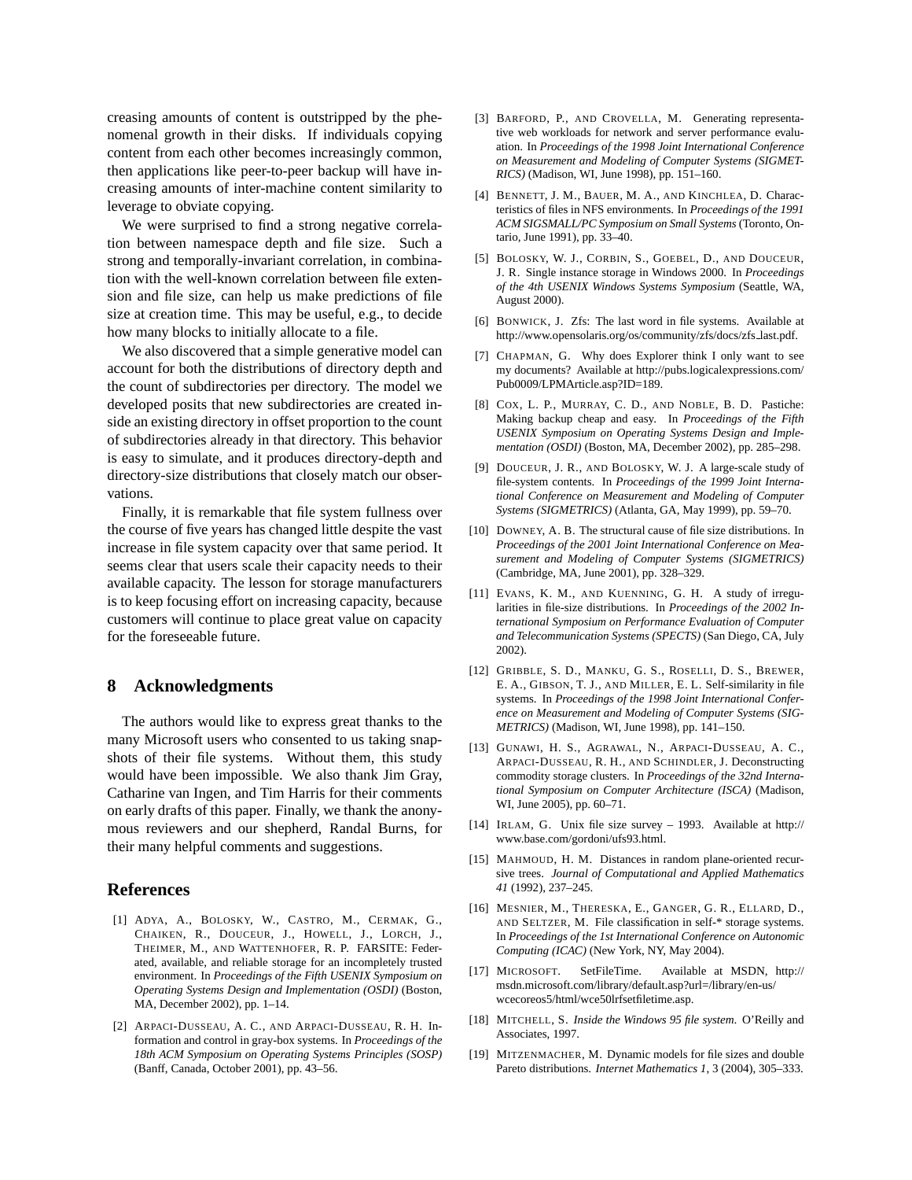creasing amounts of content is outstripped by the phenomenal growth in their disks. If individuals copying content from each other becomes increasingly common, then applications like peer-to-peer backup will have increasing amounts of inter-machine content similarity to leverage to obviate copying.

We were surprised to find a strong negative correlation between namespace depth and file size. Such a strong and temporally-invariant correlation, in combination with the well-known correlation between file extension and file size, can help us make predictions of file size at creation time. This may be useful, e.g., to decide how many blocks to initially allocate to a file.

We also discovered that a simple generative model can account for both the distributions of directory depth and the count of subdirectories per directory. The model we developed posits that new subdirectories are created inside an existing directory in offset proportion to the count of subdirectories already in that directory. This behavior is easy to simulate, and it produces directory-depth and directory-size distributions that closely match our observations.

Finally, it is remarkable that file system fullness over the course of five years has changed little despite the vast increase in file system capacity over that same period. It seems clear that users scale their capacity needs to their available capacity. The lesson for storage manufacturers is to keep focusing effort on increasing capacity, because customers will continue to place great value on capacity for the foreseeable future.

#### **8 Acknowledgments**

The authors would like to express great thanks to the many Microsoft users who consented to us taking snapshots of their file systems. Without them, this study would have been impossible. We also thank Jim Gray, Catharine van Ingen, and Tim Harris for their comments on early drafts of this paper. Finally, we thank the anonymous reviewers and our shepherd, Randal Burns, for their many helpful comments and suggestions.

### **References**

- [1] ADYA, A., BOLOSKY, W., CASTRO, M., CERMAK, G., CHAIKEN, R., DOUCEUR, J., HOWELL, J., LORCH, J., THEIMER, M., AND WATTENHOFER, R. P. FARSITE: Federated, available, and reliable storage for an incompletely trusted environment. In *Proceedings of the Fifth USENIX Symposium on Operating Systems Design and Implementation (OSDI)* (Boston, MA, December 2002), pp. 1–14.
- [2] ARPACI-DUSSEAU, A. C., AND ARPACI-DUSSEAU, R. H. Information and control in gray-box systems. In *Proceedings of the 18th ACM Symposium on Operating Systems Principles (SOSP)* (Banff, Canada, October 2001), pp. 43–56.
- [3] BARFORD, P., AND CROVELLA, M. Generating representative web workloads for network and server performance evaluation. In *Proceedings of the 1998 Joint International Conference on Measurement and Modeling of Computer Systems (SIGMET-RICS)* (Madison, WI, June 1998), pp. 151–160.
- [4] BENNETT, J. M., BAUER, M. A., AND KINCHLEA, D. Characteristics of files in NFS environments. In *Proceedings of the 1991 ACM SIGSMALL/PC Symposium on Small Systems* (Toronto, Ontario, June 1991), pp. 33–40.
- [5] BOLOSKY, W. J., CORBIN, S., GOEBEL, D., AND DOUCEUR, J. R. Single instance storage in Windows 2000. In *Proceedings of the 4th USENIX Windows Systems Symposium* (Seattle, WA, August 2000).
- [6] BONWICK, J. Zfs: The last word in file systems. Available at http://www.opensolaris.org/os/community/zfs/docs/zfs last.pdf.
- [7] CHAPMAN, G. Why does Explorer think I only want to see my documents? Available at http://pubs.logicalexpressions.com/ Pub0009/LPMArticle.asp?ID=189.
- [8] COX, L. P., MURRAY, C. D., AND NOBLE, B. D. Pastiche: Making backup cheap and easy. In *Proceedings of the Fifth USENIX Symposium on Operating Systems Design and Implementation (OSDI)* (Boston, MA, December 2002), pp. 285–298.
- [9] DOUCEUR, J. R., AND BOLOSKY, W. J. A large-scale study of file-system contents. In *Proceedings of the 1999 Joint International Conference on Measurement and Modeling of Computer Systems (SIGMETRICS)* (Atlanta, GA, May 1999), pp. 59–70.
- [10] DOWNEY, A. B. The structural cause of file size distributions. In *Proceedings of the 2001 Joint International Conference on Measurement and Modeling of Computer Systems (SIGMETRICS)* (Cambridge, MA, June 2001), pp. 328–329.
- [11] EVANS, K. M., AND KUENNING, G. H. A study of irregularities in file-size distributions. In *Proceedings of the 2002 International Symposium on Performance Evaluation of Computer and Telecommunication Systems (SPECTS)* (San Diego, CA, July 2002).
- [12] GRIBBLE, S. D., MANKU, G. S., ROSELLI, D. S., BREWER, E. A., GIBSON, T. J., AND MILLER, E. L. Self-similarity in file systems. In *Proceedings of the 1998 Joint International Conference on Measurement and Modeling of Computer Systems (SIG-METRICS)* (Madison, WI, June 1998), pp. 141–150.
- [13] GUNAWI, H. S., AGRAWAL, N., ARPACI-DUSSEAU, A. C., ARPACI-DUSSEAU, R. H., AND SCHINDLER, J. Deconstructing commodity storage clusters. In *Proceedings of the 32nd International Symposium on Computer Architecture (ISCA)* (Madison, WI, June 2005), pp. 60–71.
- [14] IRLAM, G. Unix file size survey 1993. Available at http:// www.base.com/gordoni/ufs93.html.
- [15] MAHMOUD, H. M. Distances in random plane-oriented recursive trees. *Journal of Computational and Applied Mathematics 41* (1992), 237–245.
- [16] MESNIER, M., THERESKA, E., GANGER, G. R., ELLARD, D., AND SELTZER, M. File classification in self-\* storage systems. In *Proceedings of the 1st International Conference on Autonomic Computing (ICAC)* (New York, NY, May 2004).
- [17] MICROSOFT. SetFileTime. Available at MSDN, http:// msdn.microsoft.com/library/default.asp?url=/library/en-us/ wcecoreos5/html/wce50lrfsetfiletime.asp.
- [18] MITCHELL, S. *Inside the Windows 95 file system*. O'Reilly and Associates, 1997.
- [19] MITZENMACHER, M. Dynamic models for file sizes and double Pareto distributions. *Internet Mathematics 1*, 3 (2004), 305–333.